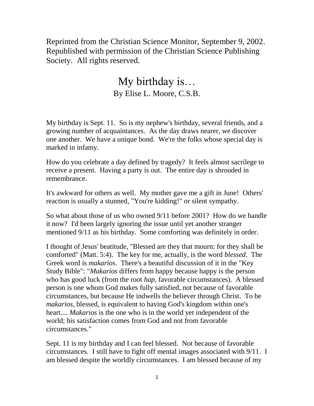Reprinted from the Christian Science Monitor, September 9, 2002. Republished with permission of the Christian Science Publishing Society. All rights reserved.

## My birthday is… By Elise L. Moore, C.S.B.

My birthday is Sept. 11. So is my nephew's birthday, several friends, and a growing number of acquaintances. As the day draws nearer, we discover one another. We have a unique bond. We're the folks whose special day is marked in infamy.

How do you celebrate a day defined by tragedy? It feels almost sacrilege to receive a present. Having a party is out. The entire day is shrouded in remembrance.

It's awkward for others as well. My mother gave me a gift in June! Others' reaction is usually a stunned, "You're kidding!" or silent sympathy.

So what about those of us who owned 9/11 before 2001? How do we handle it now? I'd been largely ignoring the issue until yet another stranger mentioned 9/11 as his birthday. Some comforting was definitely in order.

I thought of Jesus' beatitude, "Blessed are they that mourn: for they shall be comforted" (Matt. 5:4). The key for me, actually, is the word *blessed*. The Greek word is *makarios*. There's a beautiful discussion of it in the "Key Study Bible": "*Makarios* differs from happy because happy is the person who has good luck (from the root *hap*, favorable circumstances). A blessed person is one whom God makes fully satisfied, not because of favorable circumstances, but because He indwells the believer through Christ. To be *makarios,* blessed*,* is equivalent to having God's kingdom within one's heart.... *Makarios* is the one who is in the world yet independent of the world; his satisfaction comes from God and not from favorable circumstances."

Sept. 11 is my birthday and I can feel blessed. Not because of favorable circumstances. I still have to fight off mental images associated with 9/11. I am blessed despite the worldly circumstances. I am blessed because of my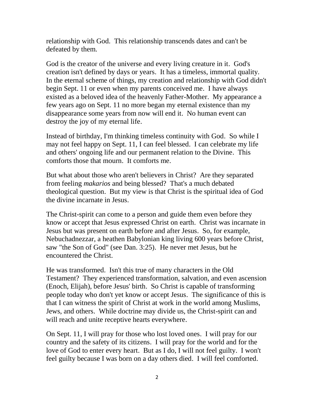relationship with God. This relationship transcends dates and can't be defeated by them.

God is the creator of the universe and every living creature in it. God's creation isn't defined by days or years. It has a timeless, immortal quality. In the eternal scheme of things, my creation and relationship with God didn't begin Sept. 11 or even when my parents conceived me. I have always existed as a beloved idea of the heavenly Father-Mother. My appearance a few years ago on Sept. 11 no more began my eternal existence than my disappearance some years from now will end it. No human event can destroy the joy of my eternal life.

Instead of birthday, I'm thinking timeless continuity with God. So while I may not feel happy on Sept. 11, I can feel blessed. I can celebrate my life and others' ongoing life and our permanent relation to the Divine. This comforts those that mourn. It comforts me.

But what about those who aren't believers in Christ? Are they separated from feeling *makarios* and being blessed? That's a much debated theological question. But my view is that Christ is the spiritual idea of God the divine incarnate in Jesus.

The Christ-spirit can come to a person and guide them even before they know or accept that Jesus expressed Christ on earth. Christ was incarnate in Jesus but was present on earth before and after Jesus. So, for example, Nebuchadnezzar, a heathen Babylonian king living 600 years before Christ, saw "the Son of God" (see Dan. 3:25). He never met Jesus, but he encountered the Christ.

He was transformed. Isn't this true of many characters in the Old Testament? They experienced transformation, salvation, and even ascension (Enoch, Elijah), before Jesus' birth. So Christ is capable of transforming people today who don't yet know or accept Jesus. The significance of this is that I can witness the spirit of Christ at work in the world among Muslims, Jews, and others. While doctrine may divide us, the Christ-spirit can and will reach and unite receptive hearts everywhere.

On Sept. 11, I will pray for those who lost loved ones. I will pray for our country and the safety of its citizens. I will pray for the world and for the love of God to enter every heart. But as I do, I will not feel guilty. I won't feel guilty because I was born on a day others died. I will feel comforted.